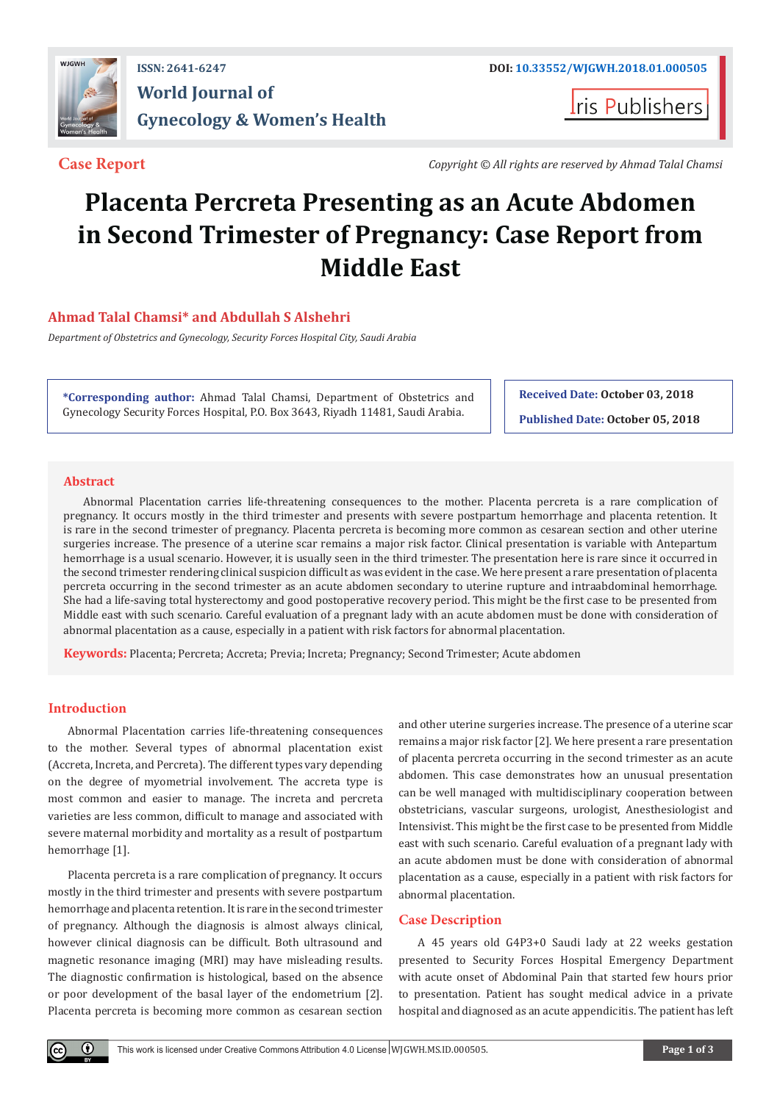

## **ISSN: 2641-6247 DOI: [10.33552/WJGWH.2018.01.000505](http://dx.doi.org/10.33552/WJGWH.2018.01.000505) World Journal of Gynecology & Women's Health**

**Iris Publishers** 

**Case Report** *Copyright © All rights are reserved by Ahmad Talal Chamsi*

# **Placenta Percreta Presenting as an Acute Abdomen in Second Trimester of Pregnancy: Case Report from Middle East**

### **Ahmad Talal Chamsi\* and Abdullah S Alshehri**

*Department of Obstetrics and Gynecology, Security Forces Hospital City, Saudi Arabia*

**\*Corresponding author:** Ahmad Talal Chamsi, Department of Obstetrics and Gynecology Security Forces Hospital, P.O. Box 3643, Riyadh 11481, Saudi Arabia.

**Received Date: October 03, 2018 Published Date: October 05, 2018**

#### **Abstract**

Abnormal Placentation carries life-threatening consequences to the mother. Placenta percreta is a rare complication of pregnancy. It occurs mostly in the third trimester and presents with severe postpartum hemorrhage and placenta retention. It is rare in the second trimester of pregnancy. Placenta percreta is becoming more common as cesarean section and other uterine surgeries increase. The presence of a uterine scar remains a major risk factor. Clinical presentation is variable with Antepartum hemorrhage is a usual scenario. However, it is usually seen in the third trimester. The presentation here is rare since it occurred in the second trimester rendering clinical suspicion difficult as was evident in the case. We here present a rare presentation of placenta percreta occurring in the second trimester as an acute abdomen secondary to uterine rupture and intraabdominal hemorrhage. She had a life-saving total hysterectomy and good postoperative recovery period. This might be the first case to be presented from Middle east with such scenario. Careful evaluation of a pregnant lady with an acute abdomen must be done with consideration of abnormal placentation as a cause, especially in a patient with risk factors for abnormal placentation.

**Keywords:** Placenta; Percreta; Accreta; Previa; Increta; Pregnancy; Second Trimester; Acute abdomen

#### **Introduction**

Abnormal Placentation carries life-threatening consequences to the mother. Several types of abnormal placentation exist (Accreta, Increta, and Percreta). The different types vary depending on the degree of myometrial involvement. The accreta type is most common and easier to manage. The increta and percreta varieties are less common, difficult to manage and associated with severe maternal morbidity and mortality as a result of postpartum hemorrhage [1].

Placenta percreta is a rare complication of pregnancy. It occurs mostly in the third trimester and presents with severe postpartum hemorrhage and placenta retention. It is rare in the second trimester of pregnancy. Although the diagnosis is almost always clinical, however clinical diagnosis can be difficult. Both ultrasound and magnetic resonance imaging (MRI) may have misleading results. The diagnostic confirmation is histological, based on the absence or poor development of the basal layer of the endometrium [2]. Placenta percreta is becoming more common as cesarean section

and other uterine surgeries increase. The presence of a uterine scar remains a major risk factor [2]. We here present a rare presentation of placenta percreta occurring in the second trimester as an acute abdomen. This case demonstrates how an unusual presentation can be well managed with multidisciplinary cooperation between obstetricians, vascular surgeons, urologist, Anesthesiologist and Intensivist. This might be the first case to be presented from Middle east with such scenario. Careful evaluation of a pregnant lady with an acute abdomen must be done with consideration of abnormal placentation as a cause, especially in a patient with risk factors for abnormal placentation.

#### **Case Description**

A 45 years old G4P3+0 Saudi lady at 22 weeks gestation presented to Security Forces Hospital Emergency Department with acute onset of Abdominal Pain that started few hours prior to presentation. Patient has sought medical advice in a private hospital and diagnosed as an acute appendicitis. The patient has left

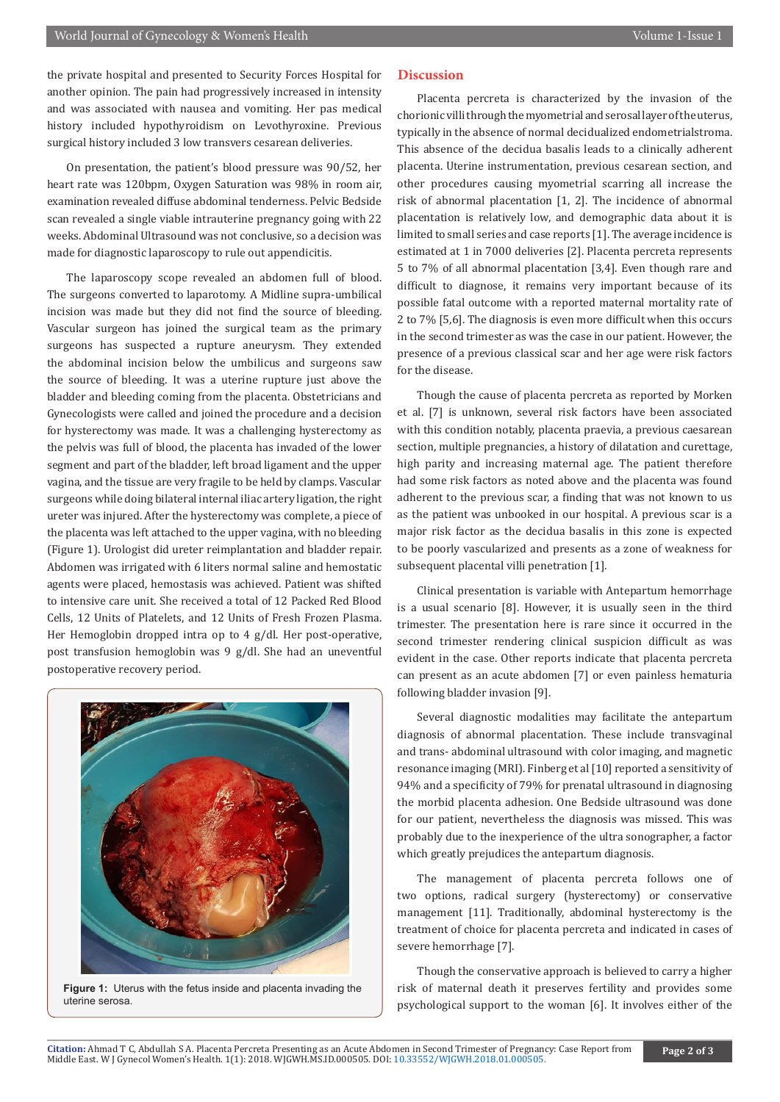the private hospital and presented to Security Forces Hospital for another opinion. The pain had progressively increased in intensity and was associated with nausea and vomiting. Her pas medical history included hypothyroidism on Levothyroxine. Previous surgical history included 3 low transvers cesarean deliveries.

On presentation, the patient's blood pressure was 90/52, her heart rate was 120bpm, Oxygen Saturation was 98% in room air, examination revealed diffuse abdominal tenderness. Pelvic Bedside scan revealed a single viable intrauterine pregnancy going with 22 weeks. Abdominal Ultrasound was not conclusive, so a decision was made for diagnostic laparoscopy to rule out appendicitis.

The laparoscopy scope revealed an abdomen full of blood. The surgeons converted to laparotomy. A Midline supra-umbilical incision was made but they did not find the source of bleeding. Vascular surgeon has joined the surgical team as the primary surgeons has suspected a rupture aneurysm. They extended the abdominal incision below the umbilicus and surgeons saw the source of bleeding. It was a uterine rupture just above the bladder and bleeding coming from the placenta. Obstetricians and Gynecologists were called and joined the procedure and a decision for hysterectomy was made. It was a challenging hysterectomy as the pelvis was full of blood, the placenta has invaded of the lower segment and part of the bladder, left broad ligament and the upper vagina, and the tissue are very fragile to be held by clamps. Vascular surgeons while doing bilateral internal iliac artery ligation, the right ureter was injured. After the hysterectomy was complete, a piece of the placenta was left attached to the upper vagina, with no bleeding (Figure 1). Urologist did ureter reimplantation and bladder repair. Abdomen was irrigated with 6 liters normal saline and hemostatic agents were placed, hemostasis was achieved. Patient was shifted to intensive care unit. She received a total of 12 Packed Red Blood Cells, 12 Units of Platelets, and 12 Units of Fresh Frozen Plasma. Her Hemoglobin dropped intra op to 4 g/dl. Her post-operative, post transfusion hemoglobin was 9 g/dl. She had an uneventful postoperative recovery period.



**Figure 1:** Uterus with the fetus inside and placenta invading the uterine serosa.

#### **Discussion**

Placenta percreta is characterized by the invasion of the chorionic villi through the myometrial and serosal layer of the uterus, typically in the absence of normal decidualized endometrialstroma. This absence of the decidua basalis leads to a clinically adherent placenta. Uterine instrumentation, previous cesarean section, and other procedures causing myometrial scarring all increase the risk of abnormal placentation [1, 2]. The incidence of abnormal placentation is relatively low, and demographic data about it is limited to small series and case reports [1]. The average incidence is estimated at 1 in 7000 deliveries [2]. Placenta percreta represents 5 to 7% of all abnormal placentation [3,4]. Even though rare and difficult to diagnose, it remains very important because of its possible fatal outcome with a reported maternal mortality rate of 2 to 7% [5,6]. The diagnosis is even more difficult when this occurs in the second trimester as was the case in our patient. However, the presence of a previous classical scar and her age were risk factors for the disease.

Though the cause of placenta percreta as reported by Morken et al. [7] is unknown, several risk factors have been associated with this condition notably, placenta praevia, a previous caesarean section, multiple pregnancies, a history of dilatation and curettage, high parity and increasing maternal age. The patient therefore had some risk factors as noted above and the placenta was found adherent to the previous scar, a finding that was not known to us as the patient was unbooked in our hospital. A previous scar is a major risk factor as the decidua basalis in this zone is expected to be poorly vascularized and presents as a zone of weakness for subsequent placental villi penetration [1].

Clinical presentation is variable with Antepartum hemorrhage is a usual scenario [8]. However, it is usually seen in the third trimester. The presentation here is rare since it occurred in the second trimester rendering clinical suspicion difficult as was evident in the case. Other reports indicate that placenta percreta can present as an acute abdomen [7] or even painless hematuria following bladder invasion [9].

Several diagnostic modalities may facilitate the antepartum diagnosis of abnormal placentation. These include transvaginal and trans- abdominal ultrasound with color imaging, and magnetic resonance imaging (MRI). Finberg et al [10] reported a sensitivity of 94% and a specificity of 79% for prenatal ultrasound in diagnosing the morbid placenta adhesion. One Bedside ultrasound was done for our patient, nevertheless the diagnosis was missed. This was probably due to the inexperience of the ultra sonographer, a factor which greatly prejudices the antepartum diagnosis.

The management of placenta percreta follows one of two options, radical surgery (hysterectomy) or conservative management [11]. Traditionally, abdominal hysterectomy is the treatment of choice for placenta percreta and indicated in cases of severe hemorrhage [7].

Though the conservative approach is believed to carry a higher risk of maternal death it preserves fertility and provides some psychological support to the woman [6]. It involves either of the